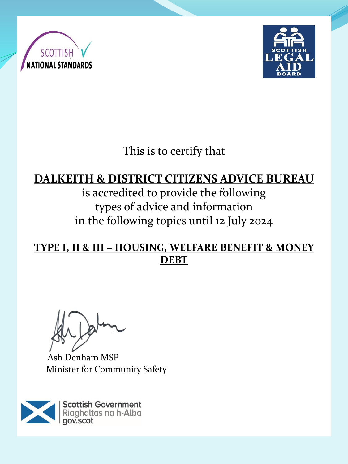



This is to certify that

## **DALKEITH & DISTRICT CITIZENS ADVICE BUREAU**

is accredited to provide the following types of advice and information in the following topics until 12 July 2024

**TYPE I, II & III – HOUSING, WELFARE BENEFIT & MONEY DEBT**

Ash Denham MSP Minister for Community Safety

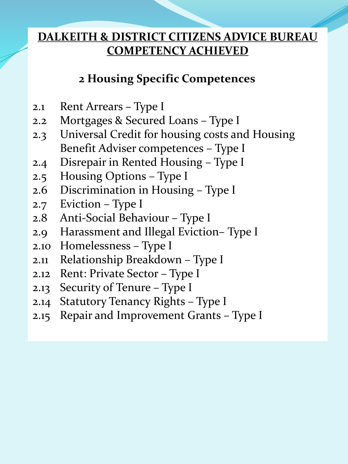## **2 Housing Specific Competences**

- 2.1 Rent Arrears Type I
- 2.2 Mortgages & Secured Loans Type I
- 2.3 Universal Credit for housing costs and Housing Benefit Adviser competences – Type I
- 2.4 Disrepair in Rented Housing Type I
- 2.5 Housing Options Type I
- 2.6 Discrimination in Housing Type I
- 2.7 Eviction Type I
- 2.8 Anti-Social Behaviour Type I
- 2.9 Harassment and Illegal Eviction– Type I
- 2.10 Homelessness Type I
- 2.11 Relationship Breakdown Type I
- 2.12 Rent: Private Sector Type I
- 2.13 Security of Tenure Type I
- 2.14 Statutory Tenancy Rights Type I
- 2.15 Repair and Improvement Grants Type I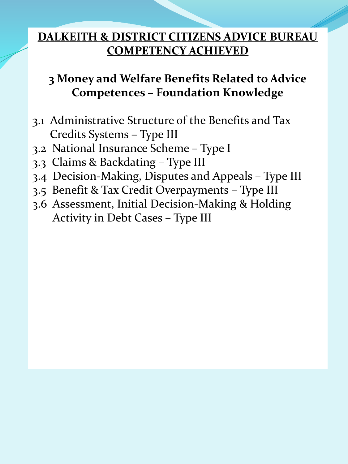# **3 Money and Welfare Benefits Related to Advice Competences – Foundation Knowledge**

- 3.1 Administrative Structure of the Benefits and Tax Credits Systems – Type III
- 3.2 National Insurance Scheme Type I
- 3.3 Claims & Backdating Type III
- 3.4 Decision-Making, Disputes and Appeals Type III
- 3.5 Benefit & Tax Credit Overpayments Type III
- 3.6 Assessment, Initial Decision-Making & Holding Activity in Debt Cases – Type III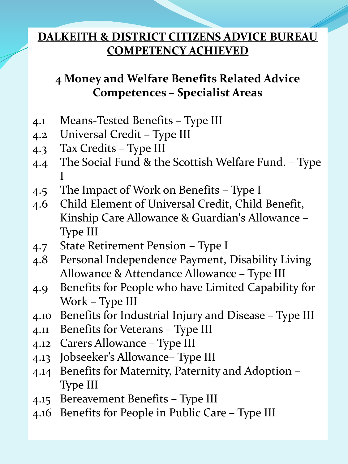# **4 Money and Welfare Benefits Related Advice Competences – Specialist Areas**

- 4.1 Means-Tested Benefits Type III
- 4.2 Universal Credit Type III
- 4.3 Tax Credits Type III
- 4.4 The Social Fund & the Scottish Welfare Fund. Type I
- 4.5 The Impact of Work on Benefits Type I
- 4.6 Child Element of Universal Credit, Child Benefit, Kinship Care Allowance & Guardian's Allowance – Type III
- 4.7 State Retirement Pension Type I
- 4.8 Personal Independence Payment, Disability Living Allowance & Attendance Allowance – Type III
- 4.9 Benefits for People who have Limited Capability for Work – Type III
- 4.10 Benefits for Industrial Injury and Disease Type III
- 4.11 Benefits for Veterans Type III
- 4.12 Carers Allowance Type III
- 4.13 Jobseeker's Allowance– Type III
- 4.14 Benefits for Maternity, Paternity and Adoption Type III
- 4.15 Bereavement Benefits Type III
- 4.16 Benefits for People in Public Care Type III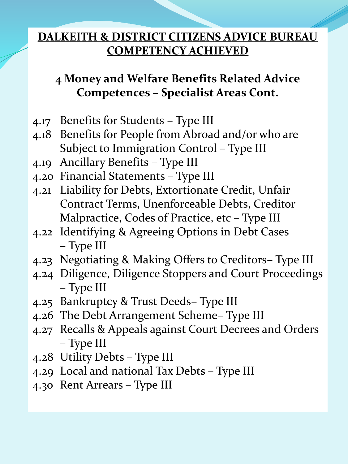# **4 Money and Welfare Benefits Related Advice Competences – Specialist Areas Cont.**

- 4.17 Benefits for Students Type III
- 4.18 Benefits for People from Abroad and/or who are Subject to Immigration Control – Type III
- 4.19 Ancillary Benefits Type III
- 4.20 Financial Statements Type III
- 4.21 Liability for Debts, Extortionate Credit, Unfair Contract Terms, Unenforceable Debts, Creditor Malpractice, Codes of Practice, etc – Type III
- 4.22 Identifying & Agreeing Options in Debt Cases – Type III
- 4.23 Negotiating & Making Offers to Creditors– Type III
- 4.24 Diligence, Diligence Stoppers and Court Proceedings – Type III
- 4.25 Bankruptcy & Trust Deeds– Type III
- 4.26 The Debt Arrangement Scheme– Type III
- 4.27 Recalls & Appeals against Court Decrees and Orders – Type III
- 4.28 Utility Debts Type III
- 4.29 Local and national Tax Debts Type III
- 4.30 Rent Arrears Type III